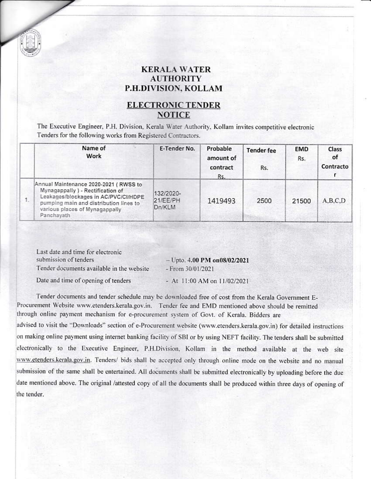## **KERALA WATER AUTHORITY P.H.DIVISION, KOLLAM**

## **ELECTRONIC TENDER NOTICE**

The Executive Engineer, P.H. Division, Kerala Water Authority, Kollam invites competitive electronic Tenders for the following works from Registered Contractors.

| Name of<br>Work                                                                                                                                                                                              | E-Tender No.                    | Probable<br>amount of<br>contract<br>Rs. | <b>Tender fee</b><br>Rs. | <b>EMD</b><br>Rs. | Class<br>of<br>Contracto |
|--------------------------------------------------------------------------------------------------------------------------------------------------------------------------------------------------------------|---------------------------------|------------------------------------------|--------------------------|-------------------|--------------------------|
| Annual Maintenance 2020-2021 (RWSS to<br>Mynagappally ) - Rectification of<br>Leakages/blockages in AC/PVC/CI/HDPE<br>pumping main and distribution lines to<br>various places of Mynagappally<br>Panchavath | 132/2020-<br>21/EE/PH<br>Dn/KLM | 1419493                                  | 2500                     | 21500             | A, B, C, D               |

Last date and time for electronic submission of tenders - Upto. 4.00 PM on08/02/2021 Tender documents available in the website - From 30/01/2021

Date and time of opening of tenders

- At 11:00 AM on 11/02/2021

Tender documents and tender schedule may be downloaded free of cost from the Kerala Government E-Procurement Website www.etenders.kerala.gov.in. Tender fee and EMD mentioned above should be remitted through online payment mechanism for e-procurement system of Govt. of Kerala. Bidders are

advised to visit the "Downloads" section of e-Procurement website (www.etenders.kerala.gov.in) for detailed instructions on making online payment using internet banking facility of SBI or by using NEFT facility. The tenders shall be submitted electronically to the Executive Engineer, P.H.Division, Kollam in the method available at the web site www.etenders.kerala.gov.in. Tenders/ bids shall be accepted only through online mode on the website and no manual submission of the same shall be entertained. All documents shall be submitted electronically by uploading before the due date mentioned above. The original /attested copy of all the documents shall be produced within three days of opening of the tender.